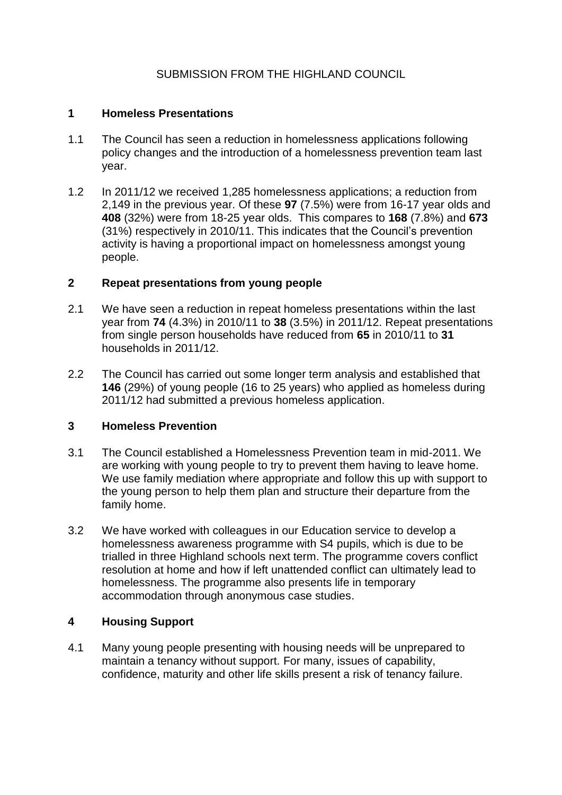# SUBMISSION FROM THE HIGHLAND COUNCIL

## **1 Homeless Presentations**

- 1.1 The Council has seen a reduction in homelessness applications following policy changes and the introduction of a homelessness prevention team last year.
- 1.2 In 2011/12 we received 1,285 homelessness applications; a reduction from 2,149 in the previous year. Of these **97** (7.5%) were from 16-17 year olds and **408** (32%) were from 18-25 year olds. This compares to **168** (7.8%) and **673** (31%) respectively in 2010/11. This indicates that the Council's prevention activity is having a proportional impact on homelessness amongst young people.

## **2 Repeat presentations from young people**

- 2.1 We have seen a reduction in repeat homeless presentations within the last year from **74** (4.3%) in 2010/11 to **38** (3.5%) in 2011/12. Repeat presentations from single person households have reduced from **65** in 2010/11 to **31** households in 2011/12.
- 2.2 The Council has carried out some longer term analysis and established that **146** (29%) of young people (16 to 25 years) who applied as homeless during 2011/12 had submitted a previous homeless application.

# **3 Homeless Prevention**

- 3.1 The Council established a Homelessness Prevention team in mid-2011. We are working with young people to try to prevent them having to leave home. We use family mediation where appropriate and follow this up with support to the young person to help them plan and structure their departure from the family home.
- 3.2 We have worked with colleagues in our Education service to develop a homelessness awareness programme with S4 pupils, which is due to be trialled in three Highland schools next term. The programme covers conflict resolution at home and how if left unattended conflict can ultimately lead to homelessness. The programme also presents life in temporary accommodation through anonymous case studies.

# **4 Housing Support**

4.1 Many young people presenting with housing needs will be unprepared to maintain a tenancy without support. For many, issues of capability, confidence, maturity and other life skills present a risk of tenancy failure.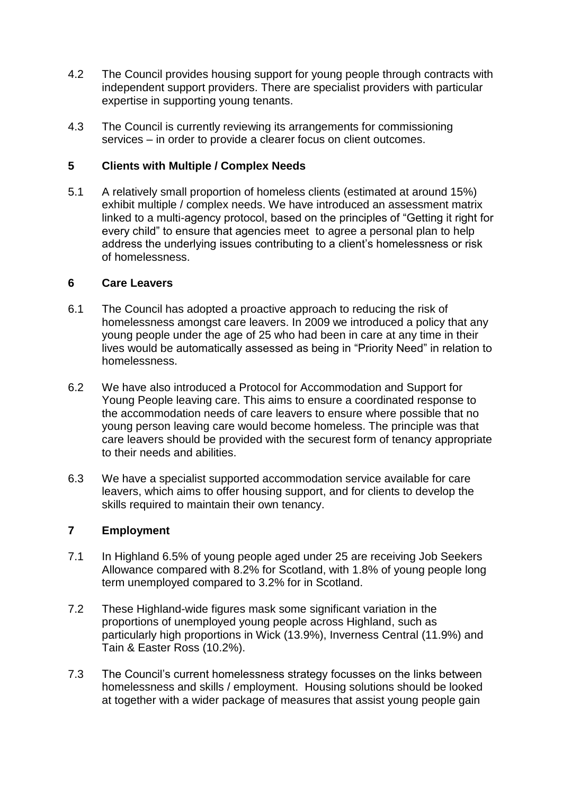- 4.2 The Council provides housing support for young people through contracts with independent support providers. There are specialist providers with particular expertise in supporting young tenants.
- 4.3 The Council is currently reviewing its arrangements for commissioning services – in order to provide a clearer focus on client outcomes.

## **5 Clients with Multiple / Complex Needs**

5.1 A relatively small proportion of homeless clients (estimated at around 15%) exhibit multiple / complex needs. We have introduced an assessment matrix linked to a multi-agency protocol, based on the principles of "Getting it right for every child" to ensure that agencies meet to agree a personal plan to help address the underlying issues contributing to a client's homelessness or risk of homelessness.

### **6 Care Leavers**

- 6.1 The Council has adopted a proactive approach to reducing the risk of homelessness amongst care leavers. In 2009 we introduced a policy that any young people under the age of 25 who had been in care at any time in their lives would be automatically assessed as being in "Priority Need" in relation to homelessness.
- 6.2 We have also introduced a Protocol for Accommodation and Support for Young People leaving care. This aims to ensure a coordinated response to the accommodation needs of care leavers to ensure where possible that no young person leaving care would become homeless. The principle was that care leavers should be provided with the securest form of tenancy appropriate to their needs and abilities.
- 6.3 We have a specialist supported accommodation service available for care leavers, which aims to offer housing support, and for clients to develop the skills required to maintain their own tenancy.

### **7 Employment**

- 7.1 In Highland 6.5% of young people aged under 25 are receiving Job Seekers Allowance compared with 8.2% for Scotland, with 1.8% of young people long term unemployed compared to 3.2% for in Scotland.
- 7.2 These Highland-wide figures mask some significant variation in the proportions of unemployed young people across Highland, such as particularly high proportions in Wick (13.9%), Inverness Central (11.9%) and Tain & Easter Ross (10.2%).
- 7.3 The Council's current homelessness strategy focusses on the links between homelessness and skills / employment. Housing solutions should be looked at together with a wider package of measures that assist young people gain